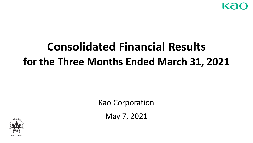# **Consolidated Financial Results for the Three Months Ended March 31, 2021**

Kao Corporation

May 7, 2021

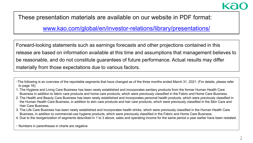

#### These presentation materials are available on our website in PDF format:

[www.kao.com/global/en/investor-relations/library/presentations/](http://www.kao.com/global/en/investor-relations/library/presentations/)

Forward-looking statements such as earnings forecasts and other projections contained in this release are based on information available at this time and assumptions that management believes to be reasonable, and do not constitute guarantees of future performance. Actual results may differ materially from those expectations due to various factors.

- 3. The Life Care Business has been newly established and incorporates health drinks, which were previously classified in the Human Health Care Business, in addition to commercial-use hygiene products, which were previously classified in the Fabric and Home Care Business.
- 4. Due to the reorganization of segments described in 1 to 3 above, sales and operating income for the same period a year earlier have been restated.

・ Numbers in parentheses in charts are negative

<sup>・</sup>The following is an overview of the reportable segments that have changed as of the three months ended March 31, 2021. (For details, please refer to page 16).

<sup>1.</sup> The Hygiene and Living Care Business has been newly established and incorporates sanitary products from the former Human Health Care Business in addition to fabric care products and home care products, which were previously classified in the Fabric and Home Care Business.

<sup>2.</sup> The Health and Beauty Care Business has been newly established and incorporates personal health products, which were previously classified in the Human Health Care Business, in addition to skin care products and hair care products, which were previously classified in the Skin Care and Hair Care Business.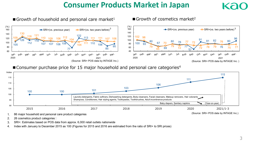### **Consumer Products Market in Japan**

Growth of household and personal care market<sup>1</sup>  $\blacksquare$  Growth of cosmetics market<sup>2</sup>



#### ■ Consumer purchase price for 15 major household and personal care categories<sup>4</sup>



1. 86 major household and personal care product categories

2. 26 cosmetics product categories

3. SRI+: Estimates based on POS data from approx. 6,000 retail outlets nationwide

4. Index with January to December 2015 as 100 (Figures for 2015 and 2016 are estimated from the ratio of SRI+ to SRI prices)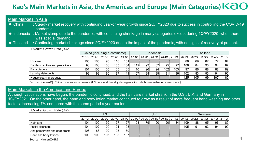### **Kao's Main Markets in Asia, the Americas and Europe (Main Categories)**

| Main Markets in Asia  |                                                                                                                                            |
|-----------------------|--------------------------------------------------------------------------------------------------------------------------------------------|
| $\blacklozenge$ China | : Steady market recovery with continuing year-on-year growth since 2Q/FY2020 due to success in controlling the COVID-19                    |
|                       | pandemic.                                                                                                                                  |
|                       | $\triangle$ Indonesia : Market slump due to the pandemic, with continuing shrinkage in many categories except during 1Q/FY2020, when there |
|                       | was special demand.                                                                                                                        |
|                       | . Oxietheria a accelert cludiche a colored OOIFVOOOO dux to the base of the completed with an element face computed accelert               |

 $\cdot$  Continuing market shrinkage since 2Q/FY2020 due to the impact of the pandemic, with no signs of recovery at present.

| i warkel Growth Rate (%) i |                              |                                          |                                  |                          |                          |     |                   |                 |                        |    |                  |                            |            |                                                                                                                                                              |
|----------------------------|------------------------------|------------------------------------------|----------------------------------|--------------------------|--------------------------|-----|-------------------|-----------------|------------------------|----|------------------|----------------------------|------------|--------------------------------------------------------------------------------------------------------------------------------------------------------------|
|                            | China (including e-commerce) |                                          |                                  |                          | Indonesia                |     |                   |                 | Thailand               |    |                  |                            |            |                                                                                                                                                              |
|                            |                              |                                          |                                  |                          |                          |     |                   |                 |                        |    |                  |                            |            |                                                                                                                                                              |
|                            |                              |                                          |                                  | 151                      |                          |     |                   |                 |                        |    |                  | 87                         |            | 84                                                                                                                                                           |
|                            |                              |                                          |                                  |                          |                          |     | 87                | 95 <sup>1</sup> | 97                     |    | 84               |                            | 94         | 87                                                                                                                                                           |
|                            |                              |                                          |                                  |                          |                          |     |                   |                 |                        | 97 | 86               |                            |            | -891                                                                                                                                                         |
|                            | 99                           |                                          | 97                               | 111                      |                          |     | 89                | 91              |                        |    | 83               |                            | 94         | 90l                                                                                                                                                          |
|                            |                              |                                          |                                  |                          |                          |     |                   |                 |                        |    |                  |                            |            | 85                                                                                                                                                           |
|                            |                              | 20 1Q 20 2Q<br>105.<br>96<br>101  <br>92 | 105.<br>103 <sub>1</sub><br>105. | 95.<br>100<br>105<br>96! | 118<br>105<br>104<br>105 | 105 | 112<br>110<br>107 | 92<br>96!<br>98 | 102 <sub>1</sub><br>94 | 96 | 103 <sub>l</sub> | 88!<br>106.<br>102<br>125: | 69.<br>105 | i 20 3Q i 20 4Q i 21 1Q i 20 1Q i 20 2Q i 20 3Q i 20 4Q i 21 1Q i 20 1Q i 20 2Q i 20 3Q i 20 4Q i 21 1Q i<br>93.<br>88<br>88<br>93<br>107 <sub>1</sub><br>99 |

Source: NielsenIQ. China includes e-commerce (UV care and laundry detergents include business-to-consumer only.)

#### Main Markets in the Americas and Europe

 $\lambda$ Market Growth Bate (0/15)

Although vaccinations have begun, the pandemic continued, and the hair care market shrank in the U.S., U.K. and Germany in 1Q/FY2021. On the other hand, the hand and body lotion market continued to grow as a result of more frequent hand washing and other factors, increasing 7% compared with the same period a year earlier.

| $\frac{1}{2}$    |      |     |      |    |     |                  |         |  |    |     |    |             |    |                                                                                                    |
|------------------|------|-----|------|----|-----|------------------|---------|--|----|-----|----|-------------|----|----------------------------------------------------------------------------------------------------|
| U.S.             |      |     | U.K. |    |     |                  | Germanv |  |    |     |    |             |    |                                                                                                    |
|                  |      |     |      |    |     |                  |         |  |    |     |    |             |    |                                                                                                    |
| 1041             | 100  | 99  | 97   | 97 | 103 | 79.              |         |  | 84 |     | 88 |             | 96 | 89                                                                                                 |
| 1041             | 1021 | 100 | 101  |    |     |                  |         |  |    |     | 91 | 93          | 94 | 90                                                                                                 |
| 106¦             | 88   | 92  | 93   |    |     |                  |         |  |    |     |    |             |    |                                                                                                    |
| 103 <sub>1</sub> | 108  | 105 | 103  |    |     |                  |         |  |    |     |    |             |    |                                                                                                    |
|                  |      |     |      |    |     | 98<br>89<br>107l |         |  | 90 | 90. |    | 109<br>105! |    | 20 10 20 20 20 30 20 40 21 10 20 10 20 20 20 20 30 20 40 21 10 20 10 20 20 20 30 20 40 21 10<br>95 |

#### $\langle$ Market Growth Rate  $(%)\rangle$

Source: NielsenIQ/IRI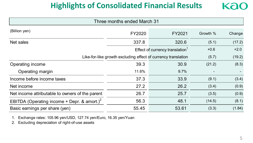#### **Highlights of Consolidated Financial Results** Ka

| Three months ended March 31                                                      |        |                                             |          |        |  |  |  |  |
|----------------------------------------------------------------------------------|--------|---------------------------------------------|----------|--------|--|--|--|--|
| (Billion yen)                                                                    | FY2020 | FY2021                                      | Growth % | Change |  |  |  |  |
| Net sales                                                                        | 337.8  | 320.6                                       | (5.1)    | (17.2) |  |  |  |  |
|                                                                                  |        | Effect of currency translation <sup>1</sup> |          |        |  |  |  |  |
| Like-for-like growth excluding effect of currency translation<br>(19.2)<br>(5.7) |        |                                             |          |        |  |  |  |  |
| Operating income                                                                 | 39.3   | 30.9                                        | (21.2)   | (8.3)  |  |  |  |  |
| Operating margin                                                                 | 11.6%  | 9.7%                                        |          |        |  |  |  |  |
| Income before income taxes                                                       | 37.3   | 33.9                                        | (9.1)    | (3.4)  |  |  |  |  |
| Net income                                                                       | 27.2   | 26.2                                        | (3.4)    | (0.9)  |  |  |  |  |
| Net income attributable to owners of the parent                                  | 26.7   | 25.7                                        | (3.5)    | (0.9)  |  |  |  |  |
| EBITDA (Operating income + Depr. & amort.) <sup>2</sup>                          | 56.3   | 48.1                                        | (14.5)   | (8.1)  |  |  |  |  |
| Basic earnings per share (yen)                                                   | 55.45  | 53.61                                       | (3.3)    | (1.84) |  |  |  |  |

1. Exchange rates: 105.96 yen/USD, 127.74 yen/Euro, 16.35 yen/Yuan

2. Excluding depreciation of right-of-use assets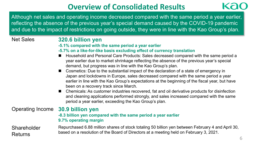### **Overview of Consolidated Results**

Although net sales and operating income decreased compared with the same period a year earlier, reflecting the absence of the previous year's special demand caused by the COVID-19 pandemic and due to the impact of restrictions on going outside, they were in line with the Kao Group's plan.

#### Net Sales **320.6 billion yen**

- **-5.1% compared with the same period a year earlier**
- **-5.7% on a like-for-like basis excluding effect of currency translation**
- Household and Personal Care Products: Sales decreased compared with the same period a year earlier due to market shrinkage reflecting the absence of the previous year's special demand, but progress was in line with the Kao Group's plan.
- Cosmetics: Due to the substantial impact of the declaration of a state of emergency in Japan and lockdowns in Europe, sales decreased compared with the same period a year earlier in line with the Kao Group's expectations at the beginning of the fiscal year, but have been on a recovery track since March.
- Chemicals: As customer industries recovered, fat and oil derivative products for disinfection and cleaning applications performed strongly, and sales increased compared with the same period a year earlier, exceeding the Kao Group's plan.

#### Operating Income **30.9 billion yen**

#### **-8.3 billion yen compared with the same period a year earlier 9.7% operating margin**

**Shareholder** Returns Repurchased 6.88 million shares of stock totaling 50 billion yen between February 4 and April 30, based on a resolution of the Board of Directors at a meeting held on February 3, 2021.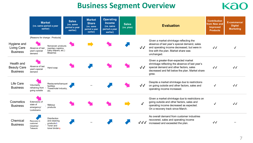### **Business Segment Overview**



|                                                     | <b>Market</b><br>(vs. same period a year<br>earlier)                                                                                                                | <b>Sales</b><br>(vs. same<br>period a year<br>earlier) | <b>Market</b><br><b>Share</b><br>(vs. same<br>period a year<br>earlier) | <b>Operating</b><br><b>Income</b><br>(vs. same<br>period a year<br>earlier) | <b>Sales</b><br>(vs. plan) | <b>Evaluation</b> |                                                                                                                                                                                                | <b>Contribution</b><br>from New and<br><b>Improved</b><br><b>Products</b> | E-commerce/<br><b>Digital</b><br><b>Marketing</b> |
|-----------------------------------------------------|---------------------------------------------------------------------------------------------------------------------------------------------------------------------|--------------------------------------------------------|-------------------------------------------------------------------------|-----------------------------------------------------------------------------|----------------------------|-------------------|------------------------------------------------------------------------------------------------------------------------------------------------------------------------------------------------|---------------------------------------------------------------------------|---------------------------------------------------|
| Hygiene and<br>Living Care<br><b>Business</b>       | [Reasons for change : Products]<br>Nonwoven products<br>Absence of last<br>(sanitary napkins,<br>baby diapers, etc.)<br>vear's special<br><b>Bleaches</b><br>demand |                                                        |                                                                         |                                                                             |                            | VJ                | Given a market shrinkage reflecting the<br>absence of last year's special demand, sales<br>and operating income decreased, but were in<br>line with the plan. Market share was<br>unchanged.   | $\checkmark$                                                              |                                                   |
| Health and<br><b>Beauty Care</b><br><b>Business</b> | Absence of last<br>Hand soap<br>year's special<br>demand                                                                                                            |                                                        |                                                                         |                                                                             |                            | $\checkmark$      | Given a greater-than-expected market<br>shrinkage reflecting the absence of last year's<br>special demand and other factors, sales<br>decreased and fell below the plan. Market share<br>grew. | $\checkmark$                                                              | $\checkmark$                                      |
| Life Care<br><b>Business</b>                        | Restaurants/banquet<br>Voluntarily<br>facilities<br>refraining from<br>Travel/hotel industry,<br>going outside<br>etc.                                              |                                                        |                                                                         |                                                                             |                            | √√                | Despite a market shrinkage due to restrictions<br>on going outside and other factors, sales and<br>operating income increased.                                                                 | √                                                                         | √√                                                |
| Cosmetics<br><b>Business</b>                        | Extensions of<br>state of<br>Makeup<br>products<br>emergency/<br>Lockdowns                                                                                          |                                                        |                                                                         |                                                                             |                            |                   | Given a market shrinkage due to restrictions on<br>going outside and other factors, sales and<br>operating income decreased as expected.<br>On a recovery track since March.                   | √                                                                         | $\checkmark$                                      |
| Chemical<br><b>Business</b>                         | <b>Disinfection</b><br>and cleaning<br>Recovery in<br>products 1<br>customer<br>Toner and<br>industries/<br>toner binder↓<br>Telework                               |                                                        |                                                                         |                                                                             |                            | ノノノ               | As overall demand from customer industries<br>recovered, sales and operating income<br>increased and exceeded the plan.                                                                        | $\sqrt{2}$                                                                |                                                   |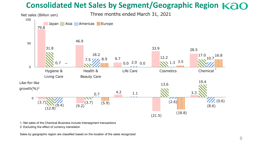### **Consolidated Net Sales by Segment/Geographic Region**



1. Net sales of the Chemical Business include intersegment transactions

2. Excluding the effect of currency translation

Sales by geographic region are classified based on the location of the sales recognized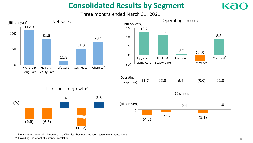### **Consolidated Results by Segment**

Three months ended March 31, 2021





Like-for-like growth<sup>2</sup>



1. Net sales and operating income of the Chemical Business include intersegment transactions

2. Excluding the effect of currency translation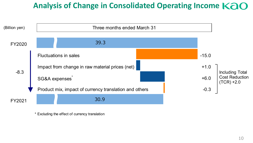## **Analysis of Change in Consolidated Operating Income**



\* Excluding the effect of currency translation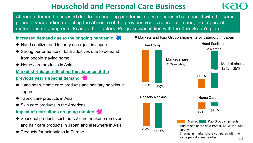### **Household and Personal Care Business**

Although demand increased due to the ongoing pandemic, sales decreased compared with the same period a year earlier, reflecting the absence of the previous year's special demand, the impact of restrictions on going outside and other factors. Progress was in line with the Kao Group's plan.

**Increased demand due to the ongoing pandemic**

- Hand sanitizer and laundry detergent in Japan
- Strong performance of bath additives due to demand from people staying home
- Home care products in Asia

#### **Market shrinkage reflecting the absence of the**

- **previous year's special demand**
- Hand soap, home care products and sanitary napkins in Japan
- Fabric care products in Asia
- Skin care products in the Americas

#### **Impact of restrictions on going outside**

- Seasonal products such as UV care, makeup remover and hair care products in Japan and elsewhere in Asia
- Products for hair salons in Europe



■ Markets and Kao Group shipments by category in Japan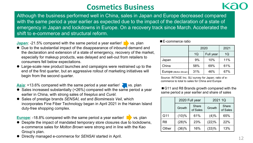#### **Cosmetics Business**

Although the business performed well in China, sales in Japan and Europe decreased compared with the same period a year earlier as expected due to the impact of the declaration of a state of emergency in Japan and lockdowns in Europe. On a recovery track since March. Accelerated the shift to e-commerce and structural reform.

**Japan:** -21.5% compared with the same period a year earlier/ vs. plan

- Due to the substantial impact of the disappearance of inbound demand and the declaration and extension of a state of emergency, recovery of the market, especially for makeup products, was delayed and sell-out from retailers to consumers fell below expectations.
- Large-scale new product launches and campaigns were restrained up to the end of the first quarter, but an aggressive rollout of marketing initiatives will begin from the second quarter.

**Asia:** +13.6% compared with the same period a year earlier/ vs. plan

- Sales increased substantially (+26%) compared with the same period a year earlier in China, with strong sales of *freeplus* and *Curél*.
- Sales of prestige brands *SENSAI, est* and *Biomimesis Veil*, which incorporates Fine Fiber Technology began in April 2021 in the Hainan Island duty-free shopping complex.

**Europe: -18.8% compared with the same period a year earlier/ vs. plan** 

- Despite the impact of mandated temporary store closures due to lockdowns, e-commerce sales for *Molton Brown* were strong and in line with the Kao Group's plan.
- Directly managed e-commerce for *SENSAI* started in April.

#### ■E-commerce ratio

|                       |     | 2020      |     |  |  |
|-----------------------|-----|-----------|-----|--|--|
|                       | 10  | Full year | 10  |  |  |
| Japan                 | 9%  | 10%       | 11% |  |  |
| China                 | 58% | 69%       | 61% |  |  |
| Europe (Molton Brown) | 31% | 46%       | 67% |  |  |

Source: INTAGE Inc. SLI survey for Japan; ratio of ecommerce to total to sales for China and Europe

■G11 and R8 Brands growth compared with the same period a year earlier and share of sales

|       | 2020 Full year |                   | 2021 1Q |                   |  |  |
|-------|----------------|-------------------|---------|-------------------|--|--|
|       | Growth         | Share<br>of Sales | Growth  | Share<br>of Sales |  |  |
| G11   | (10)%          | 61%               | (4)%    | 65%               |  |  |
| R8    | (28)%          | 23%               | (22)%   | 22%               |  |  |
| Other | (36)%          | 16%               | (33)%   | 13%               |  |  |

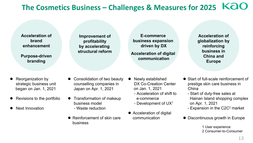## **The Cosmetics Business – Challenges & Measures for 2025**

**Acceleration of brand enhancement**

**Purpose-driven branding**

- Reorganization by strategic business unit began on Jan. 1, 2021
- Revisions to the portfolio
- Next Innovation

**Improvement of profitability by accelerating structural reform**

 Consolidation of two beauty counselling companies in Japan on Apr. 1, 2021

**E-commerce business expansion driven by DX Acceleration of digital communication**

**Acceleration of globalization by reinforcing business in China and Europe**

- Newly established DX Co-Creation Center on Jan. 1, 2021
	- Acceleration of shift to e-commerce
	- Development of UX1
- Acceleration of digital communication
- Start of full-scale reinforcement of prestige skin care business in China
	- Start of duty-free sales at Hainan Island shopping complex on Apr. 1, 2021
	- Expansion in the C2C2 market
- Discontinuous growth in Europe

1 User experience 2 Consumer-to-Consumer

- Waste reduction ● Reinforcement of skin care business

**•** Transformation of makeup

business model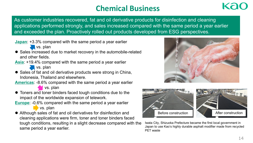## **Chemical Business**

As customer industries recovered, fat and oil derivative products for disinfection and cleaning applications performed strongly, and sales increased compared with the same period a year earlier and exceeded the plan. Proactively rolled out products developed from ESG perspectives.

**Japan**: +3.3% compared with the same period a year earlier

**vs.** plan

- Sales increased due to market recovery in the automobile-related and other fields.
- **Asia**: +19.4% compared with the same period a year earlier **vs.** plan
- Sales of fat and oil derivative products were strong in China, Indonesia, Thailand and elsewhere.
- **Americas**: -8.6% compared with the same period a year earlier vs. plan
- Toners and toner binders faced tough conditions due to the impact of the worldwide expansion of telework.
- **Europe**: -0.6% compared with the same period a year earlier vs. plan
- Although sales of fat and oil derivatives for disinfection and cleaning applications were firm, toner and toner binders faced tough conditions, resulting in a slight decrease compared with the same period a year earlier.





Iwata City, Shizuoka Prefecture became the first local government in Japan to use Kao's highly durable asphalt modifier made from recycled PET waste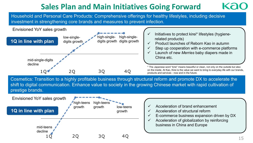### **Sales Plan and Main Initiatives Going Forward**

Household and Personal Care Products: Comprehensive offerings for healthy lifestyles, including decisive investment in strengthening core brands and measures to prevent infection.

#### Envisioned YoY sales growth



- Initiatives to protect kirei\* lifestyles (hygienerelated products)
- $\checkmark$  Product launches of Reborn Kao in autumn
- $\checkmark$  Step up cooperation with e-commerce platforms
	- Launch of new *Merries* baby diapers made in China etc.

\* The Japanese word "kirei" means beautiful or clean, not only on the outside but also on the inside. At Kao, Kirei is the value we want to bring to everyday life with our brands, products and services - now and in the future.

Cosmetics: Transition to a highly profitable business through structural reform and promote DX to accelerate the shift to digital communication. Enhance value to society in the growing Chinese market with rapid cultivation of prestige brands.



- Acceleration of brand enhancement
- Acceleration of structural reform
- E-commerce business expansion driven by DX
- $\checkmark$  Acceleration of globalization by reinforcing business in China and Europe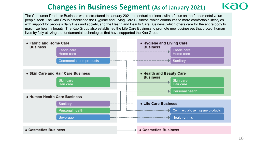### **Changes in Business Segment (As of January 2021)**

The Consumer Products Business was restructured in January 2021 to conduct business with a focus on the fundamental value people seek. The Kao Group established the Hygiene and Living Care Business, which contributes to more comfortable lifestyles with support for people's daily lives and society, and the Health and Beauty Care Business, which offers care for the entire body to maximize healthy beauty. The Kao Group also established the Life Care Business to promote new businesses that protect human lives by fully utilizing the fundamental technologies that have supported the Kao Group.

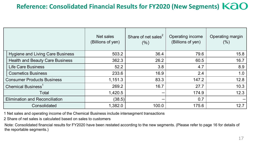### **Reference: Consolidated Financial Results for FY2020 (New Segments)**

|                                        | Net sales<br>(Billions of yen) | Share of net sales <sup>2</sup><br>(%) | Operating income<br>(Billions of yen) | Operating margin<br>$(\%)$ |
|----------------------------------------|--------------------------------|----------------------------------------|---------------------------------------|----------------------------|
| Hygiene and Living Care Business       | 503.2                          | 36.4                                   | 79.6                                  | 15.8                       |
| <b>Health and Beauty Care Business</b> | 362.3                          | 26.2                                   | 60.5                                  | 16.7                       |
| <b>Life Care Business</b>              | 52.2                           | 3.8                                    | 4.7                                   | 8.9                        |
| <b>Cosmetics Business</b>              | 233.6                          | 16.9                                   | 2.4                                   | 1.0                        |
| <b>Consumer Products Business</b>      | 1,151.3                        | 83.3                                   | 147.2                                 | 12.8                       |
| Chemical Business <sup>1</sup>         | 269.2                          | 16.7                                   | 27.7                                  | 10.3                       |
| Total                                  | 1,420.5                        |                                        | 174.9                                 | 12.3                       |
| <b>Elimination and Reconciliation</b>  | (38.5)                         |                                        | 0.7                                   |                            |
| Consolidated                           | 1,382.0                        | 100.0                                  | 175.6                                 | 12.7                       |

1 Net sales and operating income of the Chemical Business include intersegment transactions

2 Share of net sales is calculated based on sales to customers

Note: Consolidated financial results for FY2020 have been restated according to the new segments. (Please refer to page 16 for details of the reportable segments.)